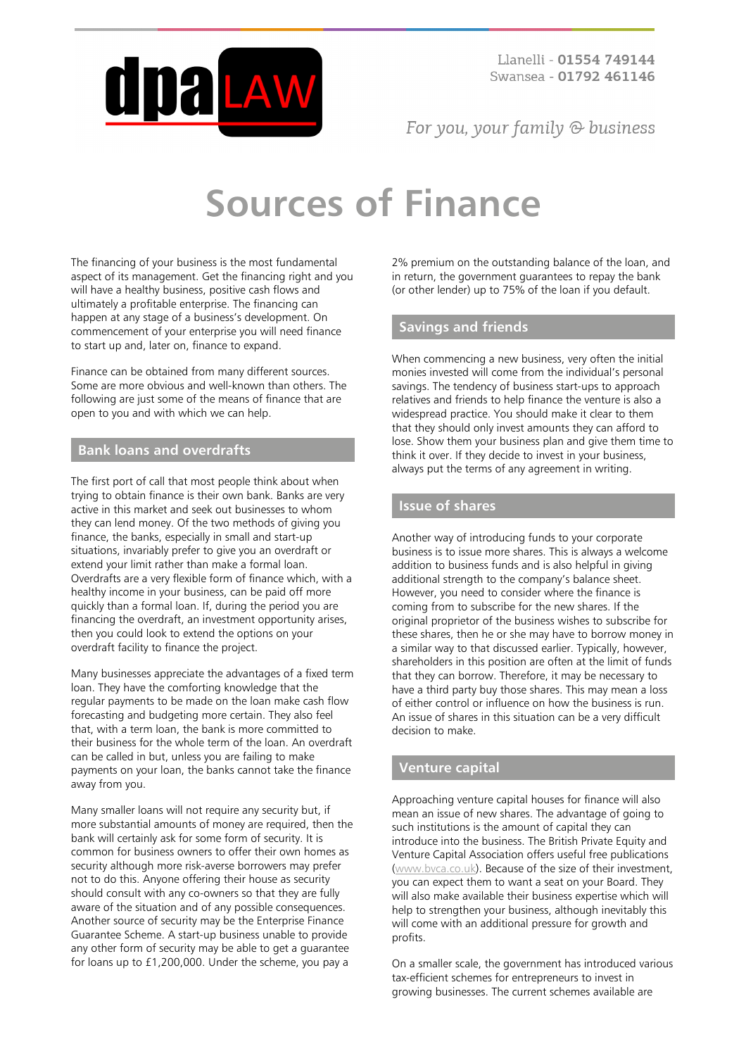

For you, your family  $\odot$  business

# **Sources of Finance**

The financing of your business is the most fundamental aspect of its management. Get the financing right and you will have a healthy business, positive cash flows and ultimately a profitable enterprise. The financing can happen at any stage of a business's development. On commencement of your enterprise you will need finance to start up and, later on, finance to expand.

Finance can be obtained from many different sources. Some are more obvious and well-known than others. The following are just some of the means of finance that are open to you and with which we can help.

## **Bank loans and overdrafts**

The first port of call that most people think about when trying to obtain finance is their own bank. Banks are very active in this market and seek out businesses to whom they can lend money. Of the two methods of giving you finance, the banks, especially in small and start-up situations, invariably prefer to give you an overdraft or extend your limit rather than make a formal loan. Overdrafts are a very flexible form of finance which, with a healthy income in your business, can be paid off more quickly than a formal loan. If, during the period you are financing the overdraft, an investment opportunity arises, then you could look to extend the options on your overdraft facility to finance the project.

Many businesses appreciate the advantages of a fixed term loan. They have the comforting knowledge that the regular payments to be made on the loan make cash flow forecasting and budgeting more certain. They also feel that, with a term loan, the bank is more committed to their business for the whole term of the loan. An overdraft can be called in but, unless you are failing to make payments on your loan, the banks cannot take the finance away from you.

Many smaller loans will not require any security but, if more substantial amounts of money are required, then the bank will certainly ask for some form of security. It is common for business owners to offer their own homes as security although more risk-averse borrowers may prefer not to do this. Anyone offering their house as security should consult with any co-owners so that they are fully aware of the situation and of any possible consequences. Another source of security may be the Enterprise Finance Guarantee Scheme. A start-up business unable to provide any other form of security may be able to get a guarantee for loans up to £1,200,000. Under the scheme, you pay a

2% premium on the outstanding balance of the loan, and in return, the government guarantees to repay the bank (or other lender) up to 75% of the loan if you default.

# **Savings and friends**

When commencing a new business, very often the initial monies invested will come from the individual's personal savings. The tendency of business start-ups to approach relatives and friends to help finance the venture is also a widespread practice. You should make it clear to them that they should only invest amounts they can afford to lose. Show them your business plan and give them time to think it over. If they decide to invest in your business, always put the terms of any agreement in writing.

# **Issue of shares**

Another way of introducing funds to your corporate business is to issue more shares. This is always a welcome addition to business funds and is also helpful in giving additional strength to the company's balance sheet. However, you need to consider where the finance is coming from to subscribe for the new shares. If the original proprietor of the business wishes to subscribe for these shares, then he or she may have to borrow money in a similar way to that discussed earlier. Typically, however, shareholders in this position are often at the limit of funds that they can borrow. Therefore, it may be necessary to have a third party buy those shares. This may mean a loss of either control or influence on how the business is run. An issue of shares in this situation can be a very difficult decision to make.

# **Venture capital**

Approaching venture capital houses for finance will also mean an issue of new shares. The advantage of going to such institutions is the amount of capital they can introduce into the business. The British Private Equity and Venture Capital Association offers useful free publications [\(www.bvca.co.uk](http://www.bvca.co.uk/)). Because of the size of their investment, you can expect them to want a seat on your Board. They will also make available their business expertise which will help to strengthen your business, although inevitably this will come with an additional pressure for growth and profits.

On a smaller scale, the government has introduced various tax-efficient schemes for entrepreneurs to invest in growing businesses. The current schemes available are